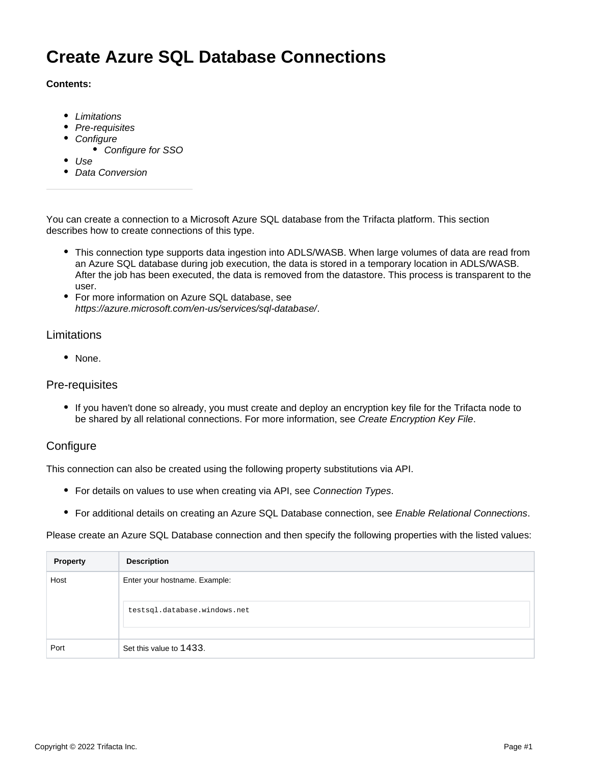# **Create Azure SQL Database Connections**

#### **Contents:**

- [Limitations](#page-0-0)
- [Pre-requisites](#page-0-1)
- [Configure](#page-0-2)
	- [Configure for SSO](#page-1-0)
- [Use](#page-1-1)
- [Data Conversion](#page-1-2)

You can create a connection to a Microsoft Azure SQL database from the Trifacta platform. This section describes how to create connections of this type.

- This connection type supports data ingestion into ADLS/WASB. When large volumes of data are read from an Azure SQL database during job execution, the data is stored in a temporary location in ADLS/WASB. After the job has been executed, the data is removed from the datastore. This process is transparent to the user.
- For more information on Azure SQL database, see <https://azure.microsoft.com/en-us/services/sql-database/>.

#### <span id="page-0-0"></span>Limitations

• None.

#### <span id="page-0-1"></span>Pre-requisites

If you haven't done so already, you must create and deploy an encryption key file for the Trifacta node to be shared by all relational connections. For more information, see [Create Encryption Key File](https://docs.trifacta.com/display/r071/Create+Encryption+Key+File).

## <span id="page-0-2"></span>**Configure**

This connection can also be created using the following property substitutions via API.

- For details on values to use when creating via API, see [Connection Types](https://docs.trifacta.com/display/r071/Connection+Types).
- For additional details on creating an Azure SQL Database connection, see [Enable Relational Connections](https://docs.trifacta.com/display/r071/Enable+Relational+Connections).

Please create an Azure SQL Database connection and then specify the following properties with the listed values:

| <b>Property</b> | <b>Description</b>                                            |
|-----------------|---------------------------------------------------------------|
| Host            | Enter your hostname. Example:<br>testsql.database.windows.net |
| Port            | Set this value to 1433.                                       |